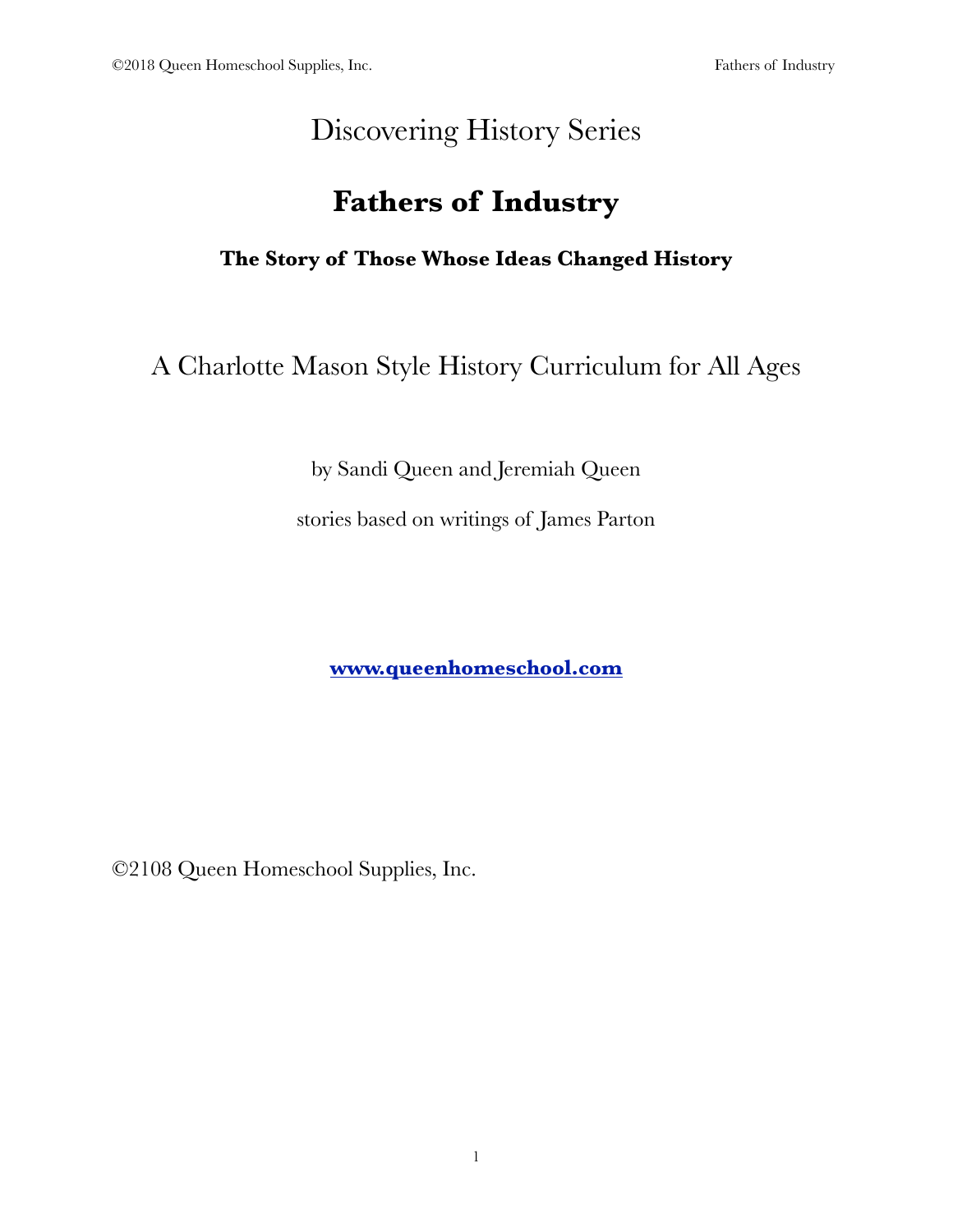# Discovering History Series

# **Fathers of Industry**

**The Story of Those Whose Ideas Changed History**

A Charlotte Mason Style History Curriculum for All Ages

by Sandi Queen and Jeremiah Queen

stories based on writings of James Parton

**[www.queenhomeschool.com](http://www.queenhomeschool.com)**

©2108 Queen Homeschool Supplies, Inc.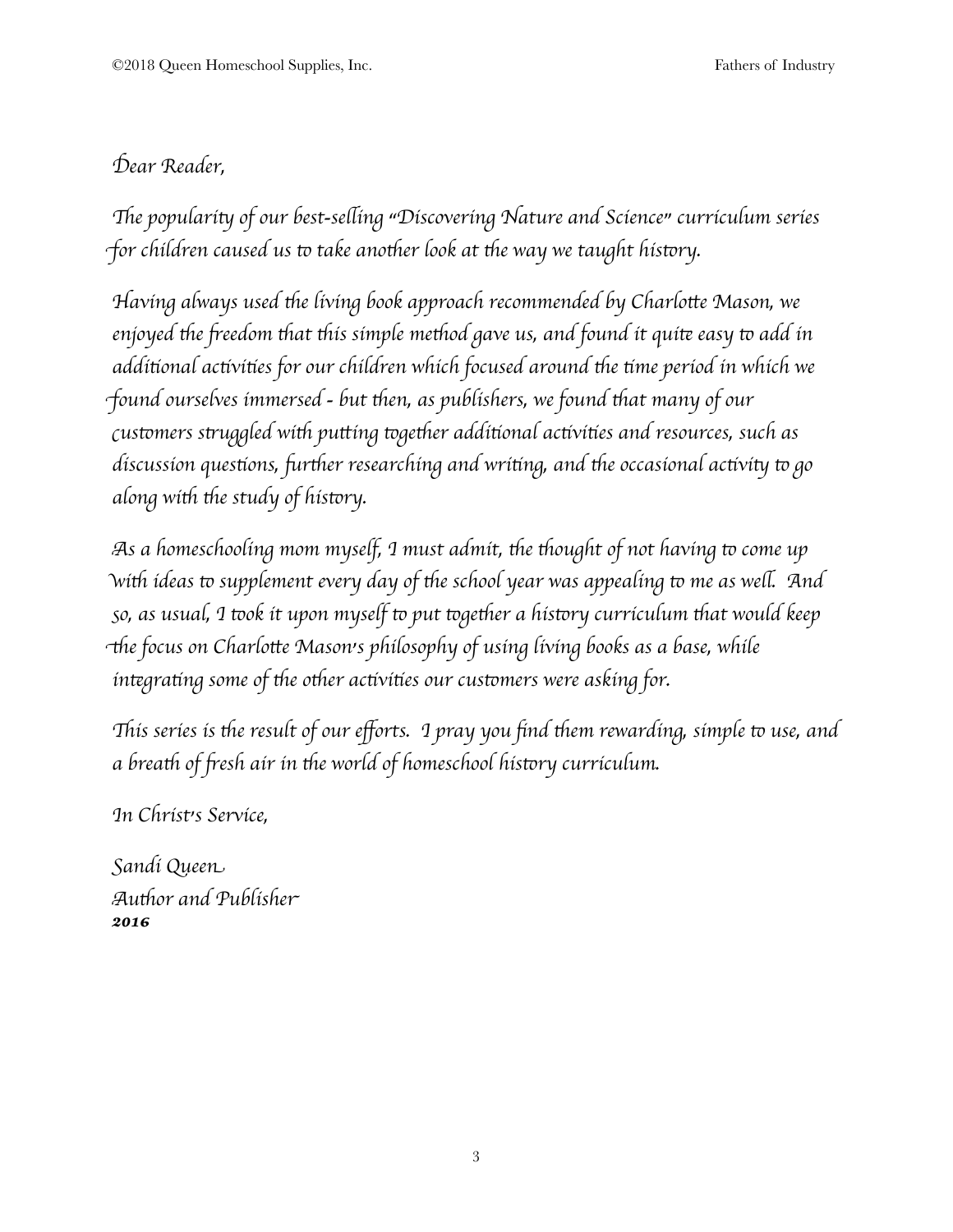## D*ear Reader,*

"*e populari*# *of our best-se*\$*ing "Discovering Nature and Science" curriculum series for children caused us to take another look at the way we taught history.* 

H*aving always used* '*e living book approach recommended by Charlo*)*e Mason, we enjoyed* '*e* \**eedom* '*at* '*is simple me*'*od gave us, and found it qui*+ *easy* & *add in addi*,*onal ac*,*vi*,*es for our children which focused around* '*e* ,*me period in which we* f*ound ourselves immersed - but* '*en, as publishers, we found* '*at many of our* c*us*&*mers s*.*uggled wi*' *pu*)*ing* &*ge*'*er addi*,*onal ac*,*vi*,*es and resources, such as discussion questions, further researching and writing, and the occasional activity to go along* with the study of history.

A*s a homeschooling mom myself, I must admit,* '*e* '*ought of not having* & *come up* w*i*' *ideas* & *supplement every day of* '*e school year was appealing* & *me as we*\$*. And* s*o, as usual, I* &*ok it upon myself* & *put* &*ge*'*er a his*&*ry curriculum* '*at would keep* 3*e focus on Charlo*)*e Mason's philosophy of using living books as a base, while integrating* some of the other activities our customers were asking for.

This series is the result of our efforts. I pray you find them rewarding, simple to use, and *a brea*' *of* \**esh air in* '*e world of homeschool his*&*ry curriculum.*

I*n Christ's Service,*

S*andi Quee*n A*u*'*or and Publishe*r *2016*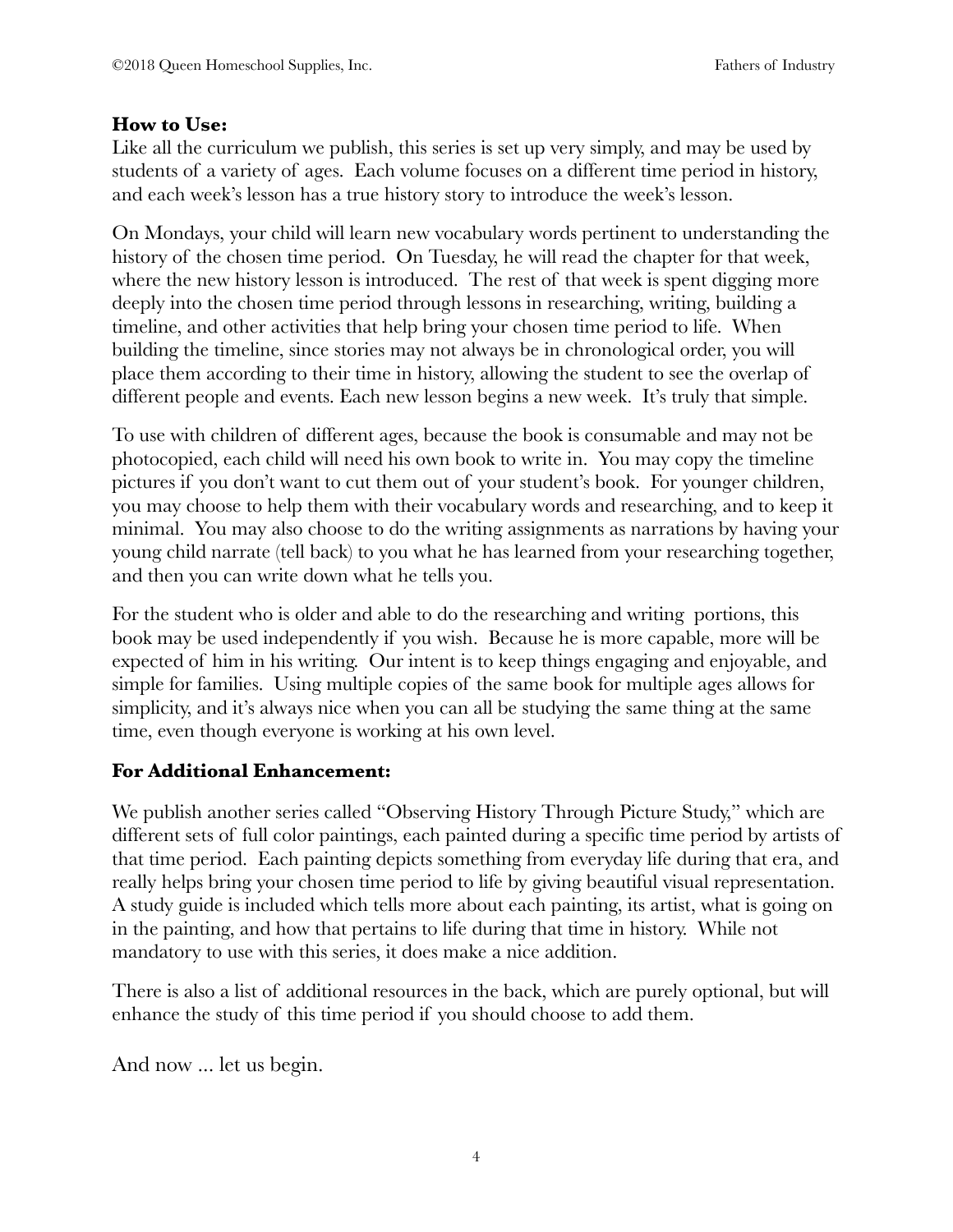#### **How to Use:**

Like all the curriculum we publish, this series is set up very simply, and may be used by students of a variety of ages. Each volume focuses on a different time period in history, and each week's lesson has a true history story to introduce the week's lesson.

On Mondays, your child will learn new vocabulary words pertinent to understanding the history of the chosen time period. On Tuesday, he will read the chapter for that week, where the new history lesson is introduced. The rest of that week is spent digging more deeply into the chosen time period through lessons in researching, writing, building a timeline, and other activities that help bring your chosen time period to life. When building the timeline, since stories may not always be in chronological order, you will place them according to their time in history, allowing the student to see the overlap of different people and events. Each new lesson begins a new week. It's truly that simple.

To use with children of different ages, because the book is consumable and may not be photocopied, each child will need his own book to write in. You may copy the timeline pictures if you don't want to cut them out of your student's book. For younger children, you may choose to help them with their vocabulary words and researching, and to keep it minimal. You may also choose to do the writing assignments as narrations by having your young child narrate (tell back) to you what he has learned from your researching together, and then you can write down what he tells you.

For the student who is older and able to do the researching and writing portions, this book may be used independently if you wish. Because he is more capable, more will be expected of him in his writing. Our intent is to keep things engaging and enjoyable, and simple for families. Using multiple copies of the same book for multiple ages allows for simplicity, and it's always nice when you can all be studying the same thing at the same time, even though everyone is working at his own level.

#### **For Additional Enhancement:**

We publish another series called "Observing History Through Picture Study," which are different sets of full color paintings, each painted during a specific time period by artists of that time period. Each painting depicts something from everyday life during that era, and really helps bring your chosen time period to life by giving beautiful visual representation. A study guide is included which tells more about each painting, its artist, what is going on in the painting, and how that pertains to life during that time in history. While not mandatory to use with this series, it does make a nice addition.

There is also a list of additional resources in the back, which are purely optional, but will enhance the study of this time period if you should choose to add them.

And now ... let us begin.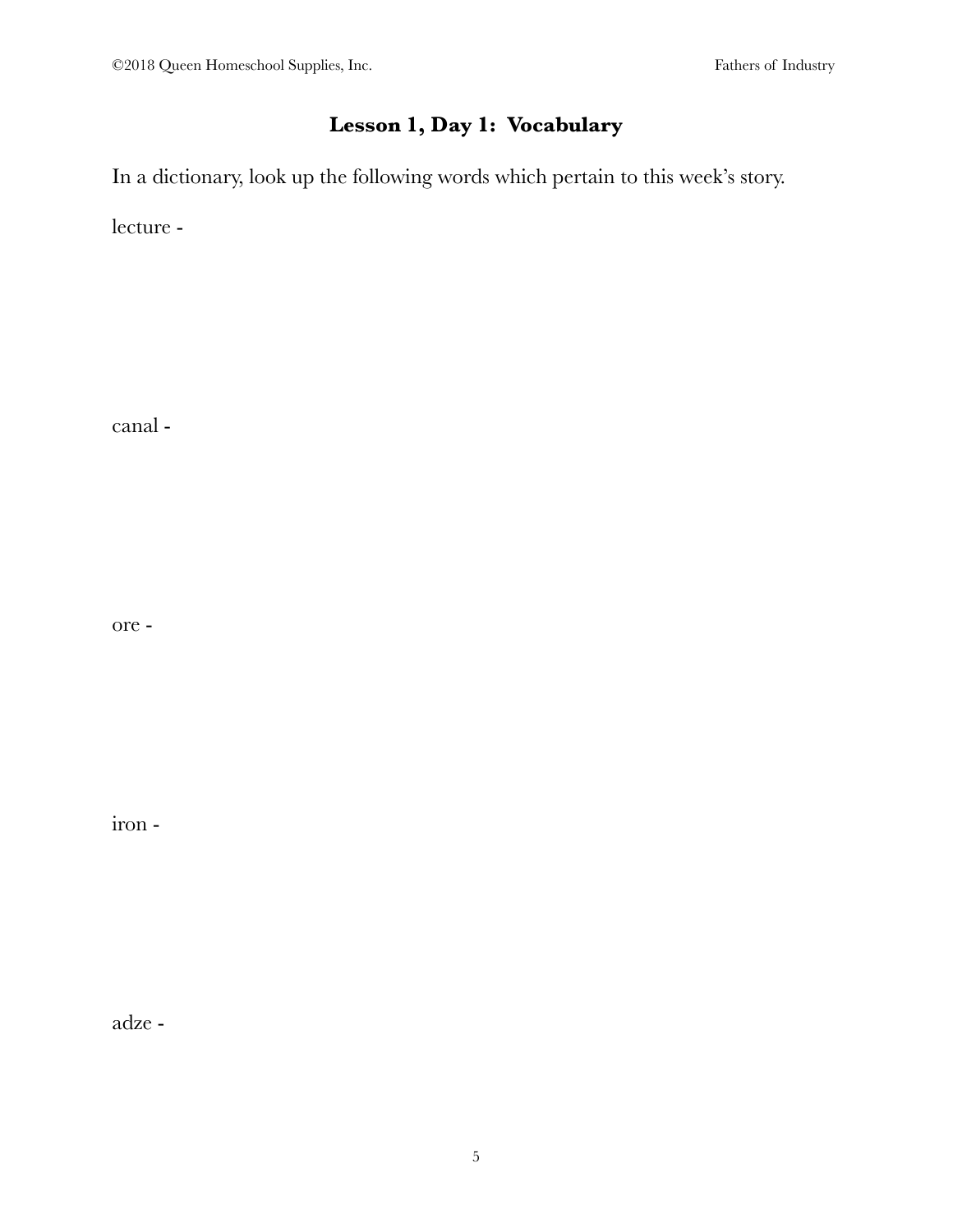## **Lesson 1, Day 1: Vocabulary**

In a dictionary, look up the following words which pertain to this week's story.

lecture -

canal -

ore -

iron -

adze -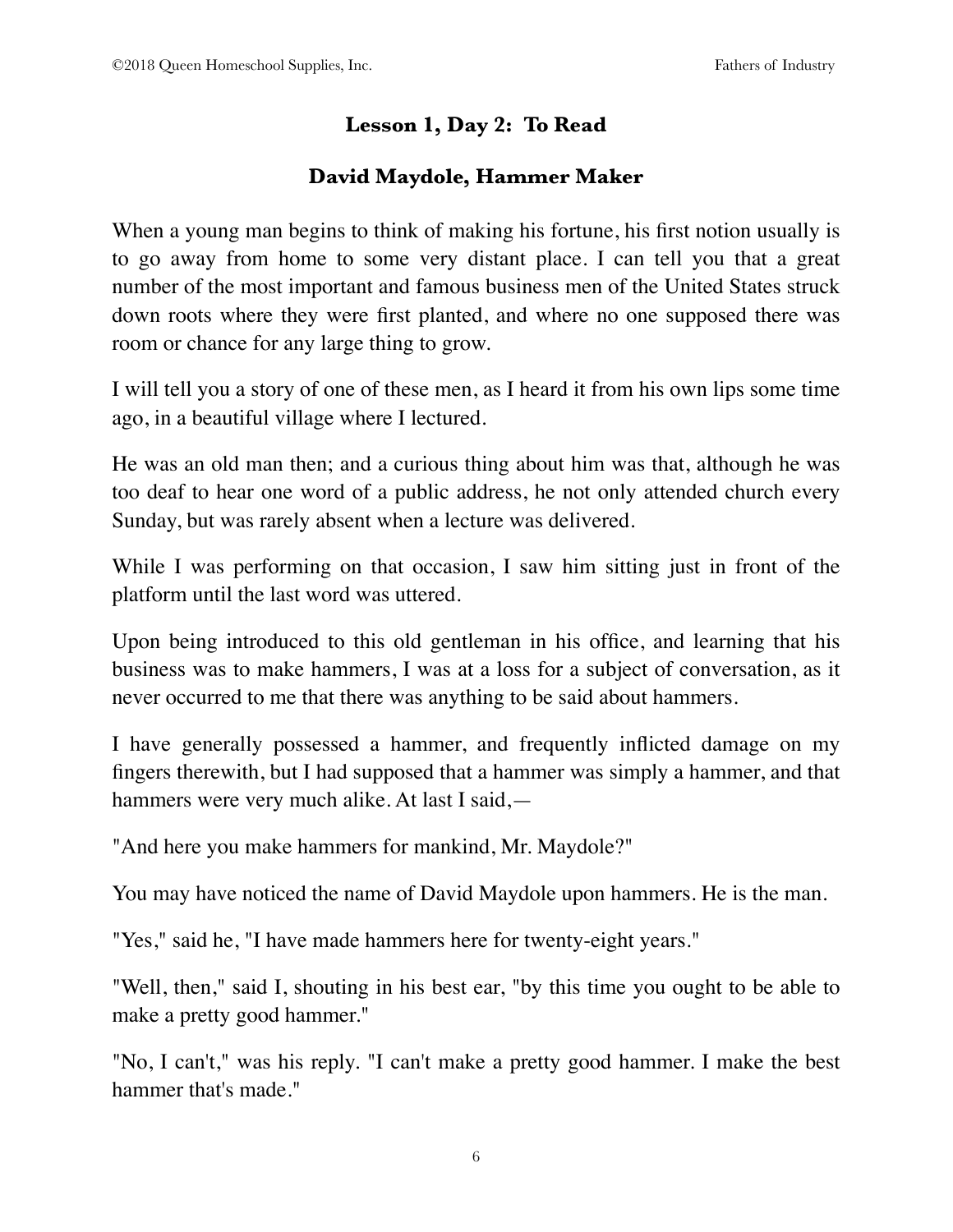## **Lesson 1, Day 2: To Read**

## **David Maydole, Hammer Maker**

When a young man begins to think of making his fortune, his first notion usually is to go away from home to some very distant place. I can tell you that a great number of the most important and famous business men of the United States struck down roots where they were first planted, and where no one supposed there was room or chance for any large thing to grow.

I will tell you a story of one of these men, as I heard it from his own lips some time ago, in a beautiful village where I lectured.

He was an old man then; and a curious thing about him was that, although he was too deaf to hear one word of a public address, he not only attended church every Sunday, but was rarely absent when a lecture was delivered.

While I was performing on that occasion, I saw him sitting just in front of the platform until the last word was uttered.

Upon being introduced to this old gentleman in his office, and learning that his business was to make hammers, I was at a loss for a subject of conversation, as it never occurred to me that there was anything to be said about hammers.

I have generally possessed a hammer, and frequently inflicted damage on my fingers therewith, but I had supposed that a hammer was simply a hammer, and that hammers were very much alike. At last I said,—

"And here you make hammers for mankind, Mr. Maydole?"

You may have noticed the name of David Maydole upon hammers. He is the man.

"Yes," said he, "I have made hammers here for twenty-eight years."

"Well, then," said I, shouting in his best ear, "by this time you ought to be able to make a pretty good hammer."

"No, I can't," was his reply. "I can't make a pretty good hammer. I make the best hammer that's made."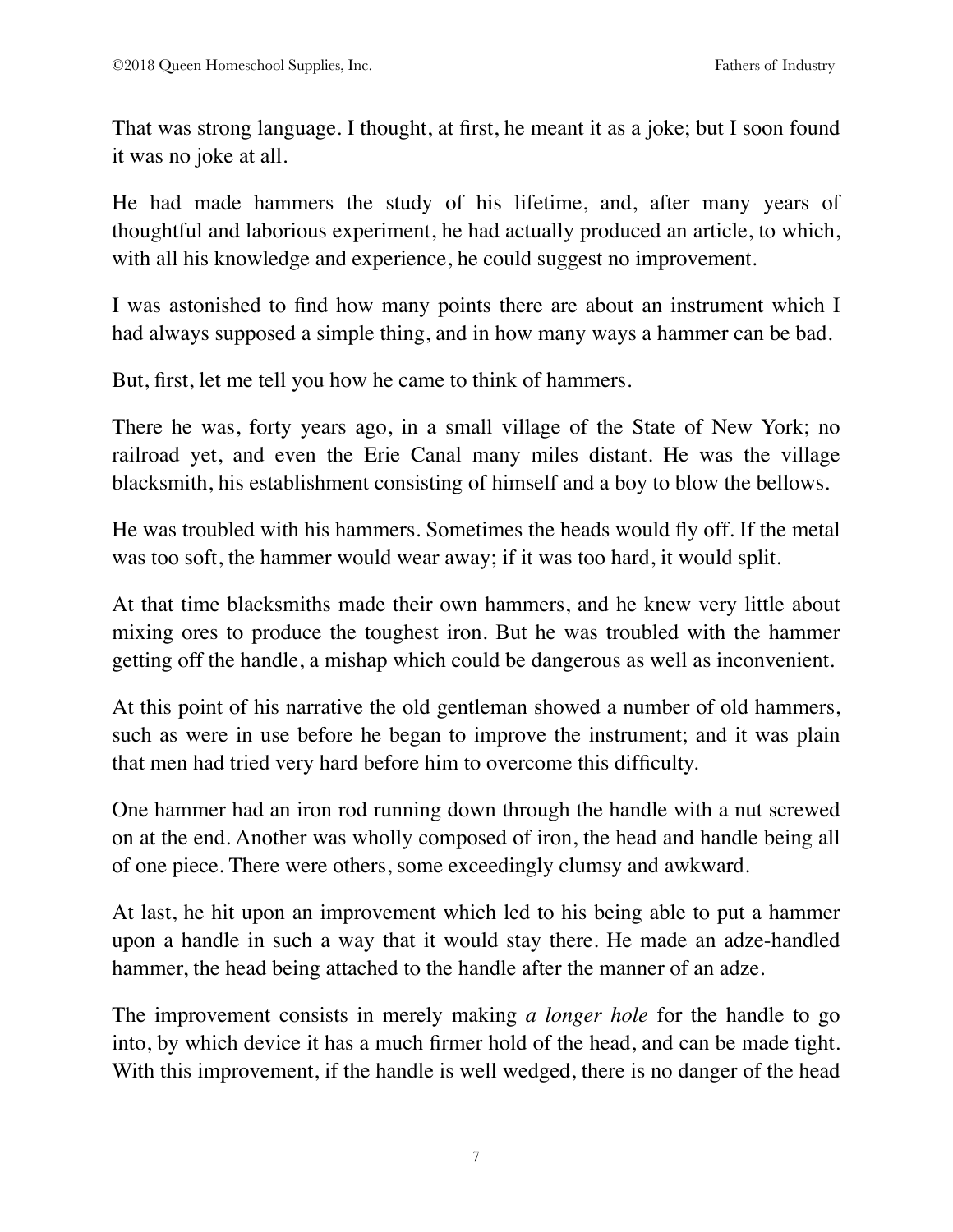That was strong language. I thought, at first, he meant it as a joke; but I soon found it was no joke at all.

He had made hammers the study of his lifetime, and, after many years of thoughtful and laborious experiment, he had actually produced an article, to which, with all his knowledge and experience, he could suggest no improvement.

I was astonished to find how many points there are about an instrument which I had always supposed a simple thing, and in how many ways a hammer can be bad.

But, first, let me tell you how he came to think of hammers.

There he was, forty years ago, in a small village of the State of New York; no railroad yet, and even the Erie Canal many miles distant. He was the village blacksmith, his establishment consisting of himself and a boy to blow the bellows.

He was troubled with his hammers. Sometimes the heads would fly off. If the metal was too soft, the hammer would wear away; if it was too hard, it would split.

At that time blacksmiths made their own hammers, and he knew very little about mixing ores to produce the toughest iron. But he was troubled with the hammer getting off the handle, a mishap which could be dangerous as well as inconvenient.

At this point of his narrative the old gentleman showed a number of old hammers, such as were in use before he began to improve the instrument; and it was plain that men had tried very hard before him to overcome this difficulty.

One hammer had an iron rod running down through the handle with a nut screwed on at the end. Another was wholly composed of iron, the head and handle being all of one piece. There were others, some exceedingly clumsy and awkward.

At last, he hit upon an improvement which led to his being able to put a hammer upon a handle in such a way that it would stay there. He made an adze-handled hammer, the head being attached to the handle after the manner of an adze.

The improvement consists in merely making *a longer hole* for the handle to go into, by which device it has a much firmer hold of the head, and can be made tight. With this improvement, if the handle is well wedged, there is no danger of the head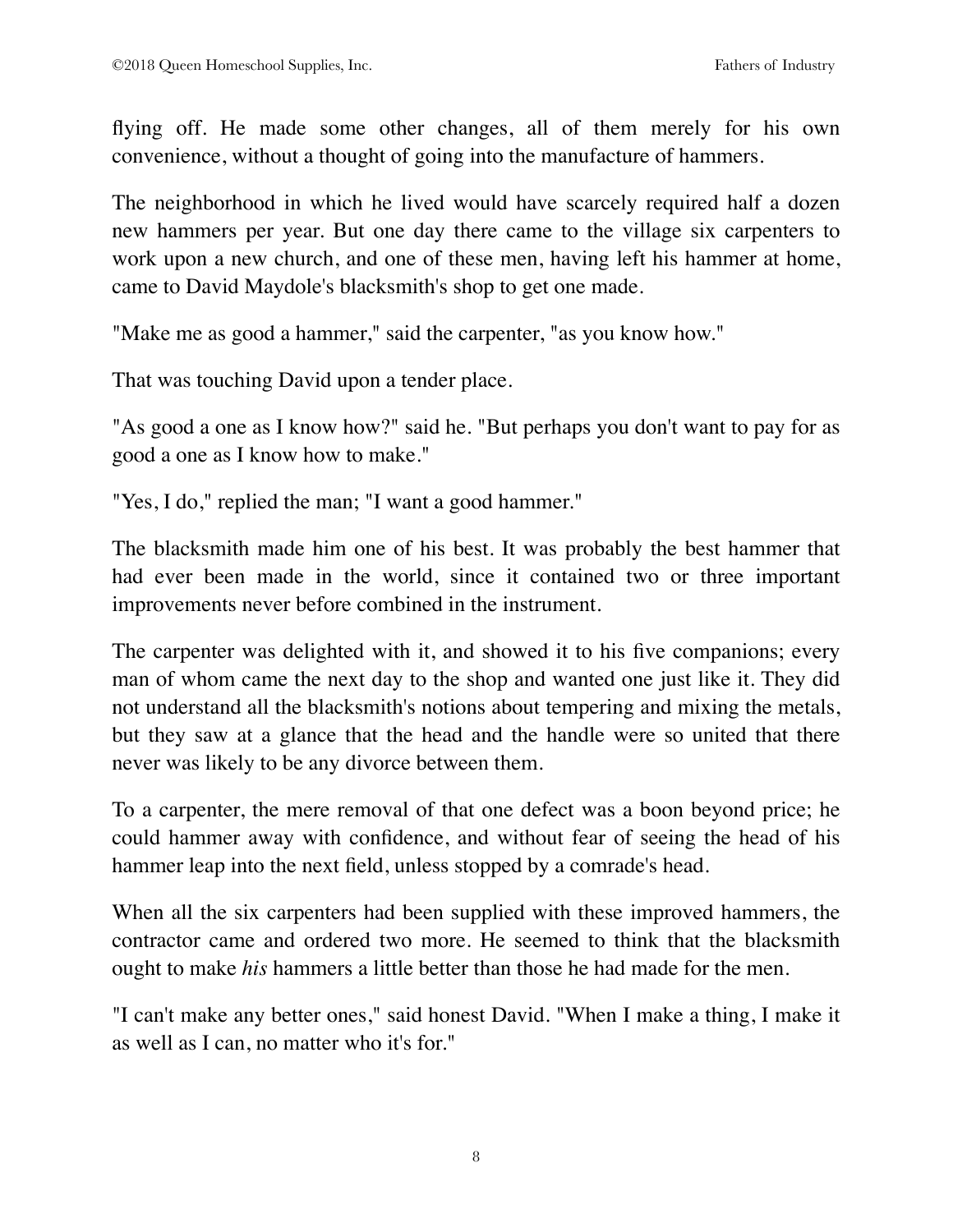flying off. He made some other changes, all of them merely for his own convenience, without a thought of going into the manufacture of hammers.

The neighborhood in which he lived would have scarcely required half a dozen new hammers per year. But one day there came to the village six carpenters to work upon a new church, and one of these men, having left his hammer at home, came to David Maydole's blacksmith's shop to get one made.

"Make me as good a hammer," said the carpenter, "as you know how."

That was touching David upon a tender place.

"As good a one as I know how?" said he. "But perhaps you don't want to pay for as good a one as I know how to make."

"Yes, I do," replied the man; "I want a good hammer."

The blacksmith made him one of his best. It was probably the best hammer that had ever been made in the world, since it contained two or three important improvements never before combined in the instrument.

The carpenter was delighted with it, and showed it to his five companions; every man of whom came the next day to the shop and wanted one just like it. They did not understand all the blacksmith's notions about tempering and mixing the metals, but they saw at a glance that the head and the handle were so united that there never was likely to be any divorce between them.

To a carpenter, the mere removal of that one defect was a boon beyond price; he could hammer away with confidence, and without fear of seeing the head of his hammer leap into the next field, unless stopped by a comrade's head.

When all the six carpenters had been supplied with these improved hammers, the contractor came and ordered two more. He seemed to think that the blacksmith ought to make *his* hammers a little better than those he had made for the men.

"I can't make any better ones," said honest David. "When I make a thing, I make it as well as I can, no matter who it's for."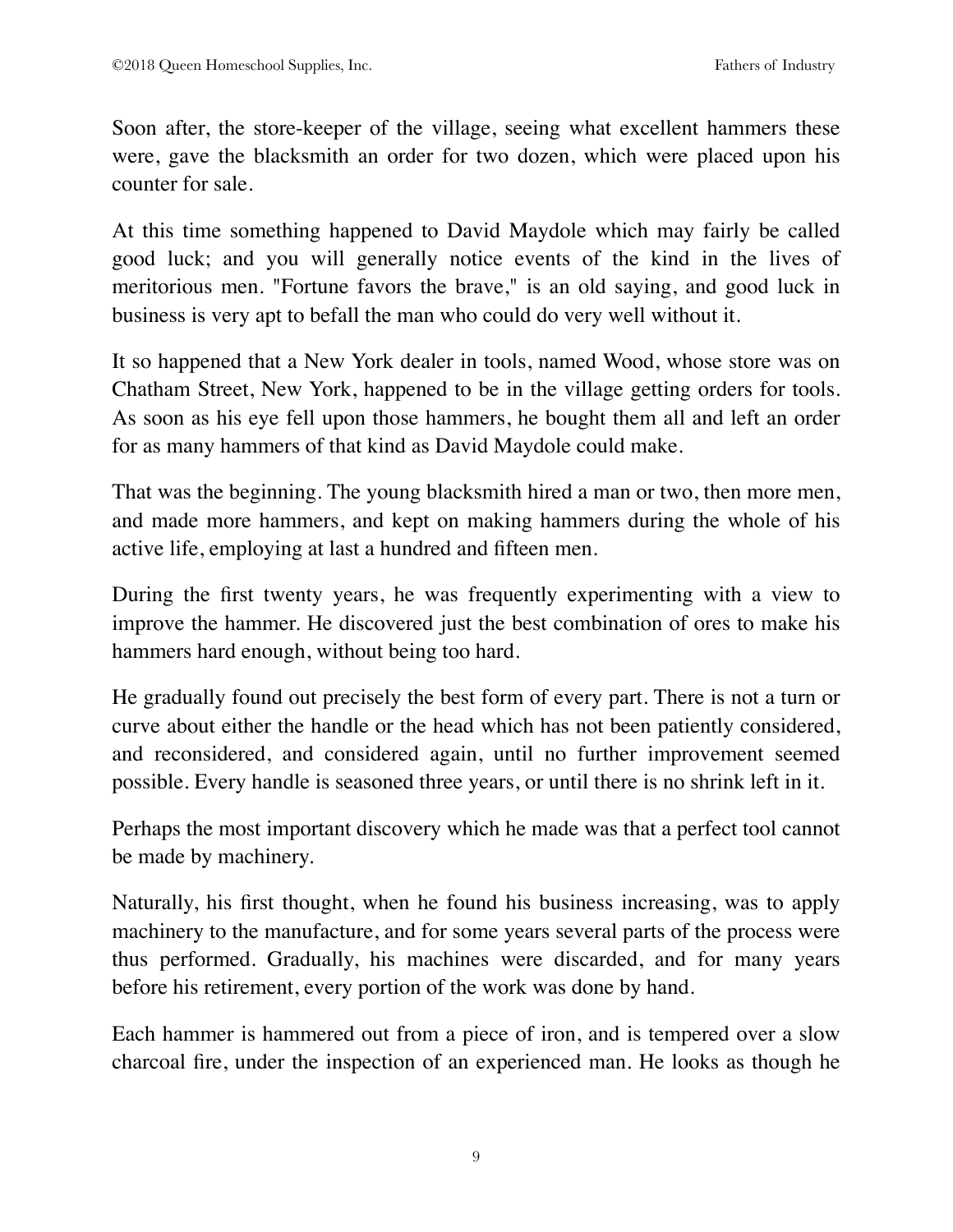Soon after, the store-keeper of the village, seeing what excellent hammers these were, gave the blacksmith an order for two dozen, which were placed upon his counter for sale.

At this time something happened to David Maydole which may fairly be called good luck; and you will generally notice events of the kind in the lives of meritorious men. "Fortune favors the brave," is an old saying, and good luck in business is very apt to befall the man who could do very well without it.

It so happened that a New York dealer in tools, named Wood, whose store was on Chatham Street, New York, happened to be in the village getting orders for tools. As soon as his eye fell upon those hammers, he bought them all and left an order for as many hammers of that kind as David Maydole could make.

That was the beginning. The young blacksmith hired a man or two, then more men, and made more hammers, and kept on making hammers during the whole of his active life, employing at last a hundred and fifteen men.

During the first twenty years, he was frequently experimenting with a view to improve the hammer. He discovered just the best combination of ores to make his hammers hard enough, without being too hard.

He gradually found out precisely the best form of every part. There is not a turn or curve about either the handle or the head which has not been patiently considered, and reconsidered, and considered again, until no further improvement seemed possible. Every handle is seasoned three years, or until there is no shrink left in it.

Perhaps the most important discovery which he made was that a perfect tool cannot be made by machinery.

Naturally, his first thought, when he found his business increasing, was to apply machinery to the manufacture, and for some years several parts of the process were thus performed. Gradually, his machines were discarded, and for many years before his retirement, every portion of the work was done by hand.

Each hammer is hammered out from a piece of iron, and is tempered over a slow charcoal fire, under the inspection of an experienced man. He looks as though he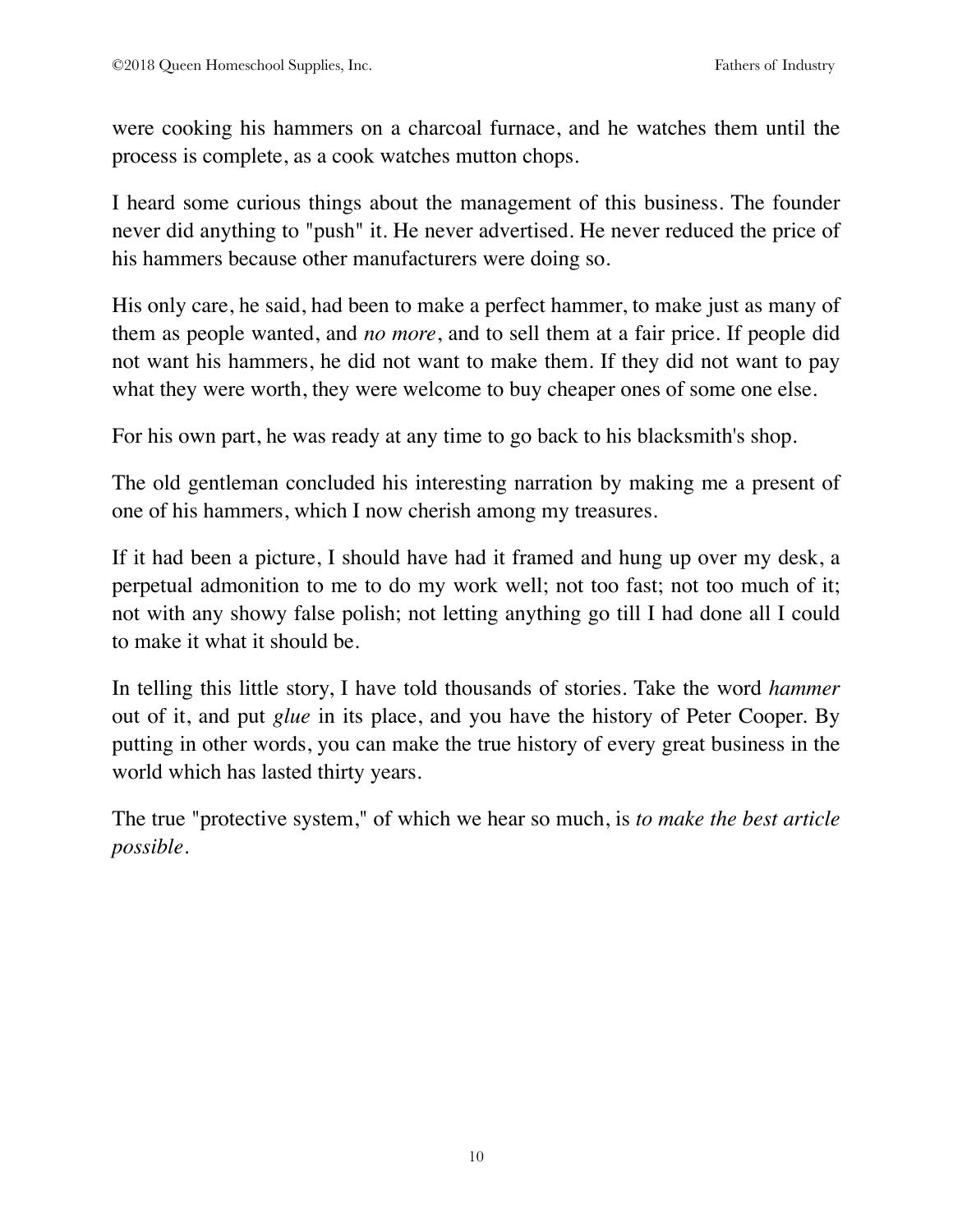were cooking his hammers on a charcoal furnace, and he watches them until the process is complete, as a cook watches mutton chops.

I heard some curious things about the management of this business. The founder never did anything to "push" it. He never advertised. He never reduced the price of his hammers because other manufacturers were doing so.

His only care, he said, had been to make a perfect hammer, to make just as many of them as people wanted, and *no more*, and to sell them at a fair price. If people did not want his hammers, he did not want to make them. If they did not want to pay what they were worth, they were welcome to buy cheaper ones of some one else.

For his own part, he was ready at any time to go back to his blacksmith's shop.

The old gentleman concluded his interesting narration by making me a present of one of his hammers, which I now cherish among my treasures.

If it had been a picture, I should have had it framed and hung up over my desk, a perpetual admonition to me to do my work well; not too fast; not too much of it; not with any showy false polish; not letting anything go till I had done all I could to make it what it should be.

In telling this little story, I have told thousands of stories. Take the word *hammer* out of it, and put *glue* in its place, and you have the history of Peter Cooper. By putting in other words, you can make the true history of every great business in the world which has lasted thirty years.

The true "protective system," of which we hear so much, is *to make the best article possible*.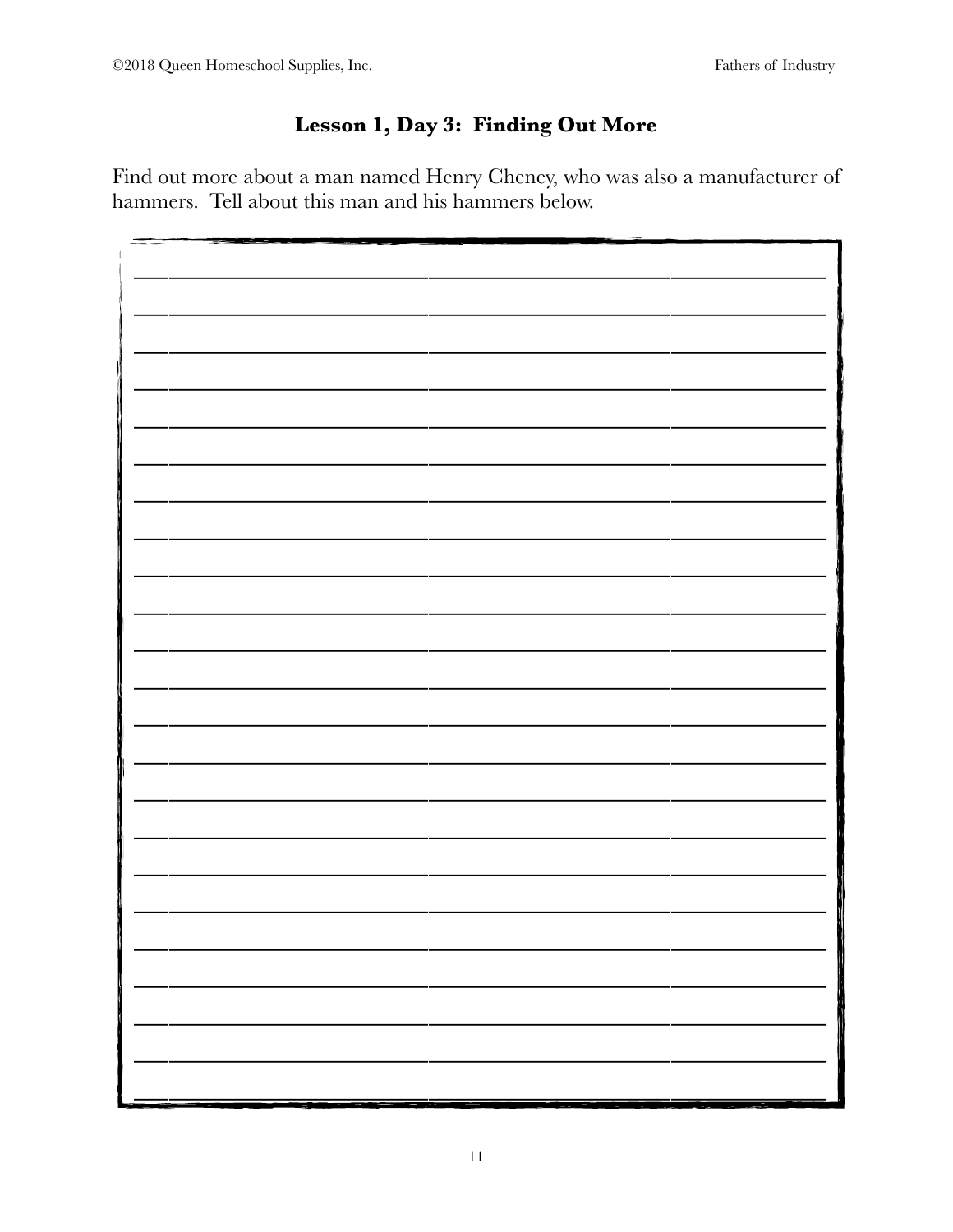## Lesson 1, Day 3: Finding Out More

Find out more about a man named Henry Cheney, who was also a manufacturer of hammers. Tell about this man and his hammers below.

| and the state of the control of the control of the control of the control of the control of the control of the<br>ست م |
|------------------------------------------------------------------------------------------------------------------------|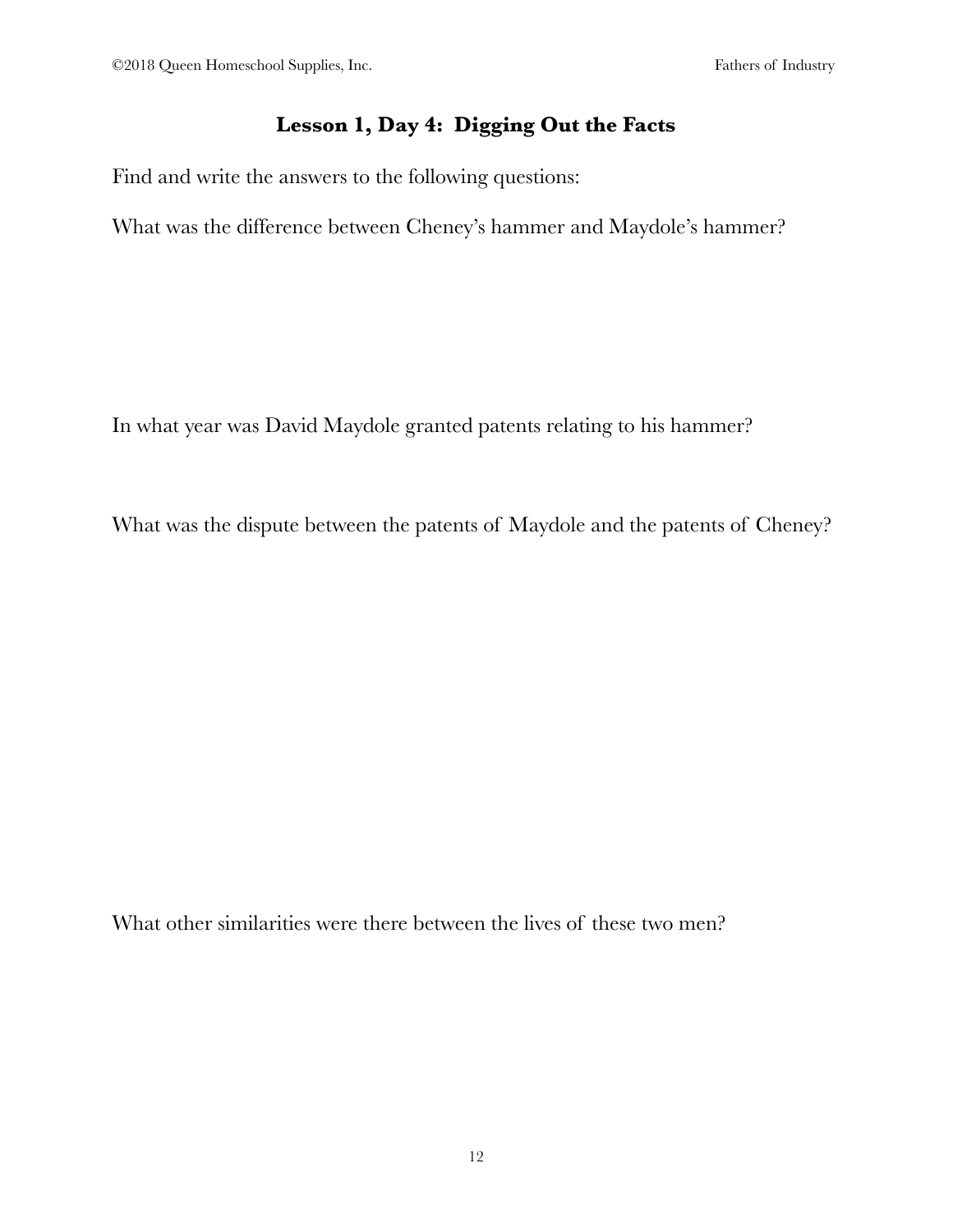#### **Lesson 1, Day 4: Digging Out the Facts**

Find and write the answers to the following questions:

What was the difference between Cheney's hammer and Maydole's hammer?

In what year was David Maydole granted patents relating to his hammer?

What was the dispute between the patents of Maydole and the patents of Cheney?

What other similarities were there between the lives of these two men?